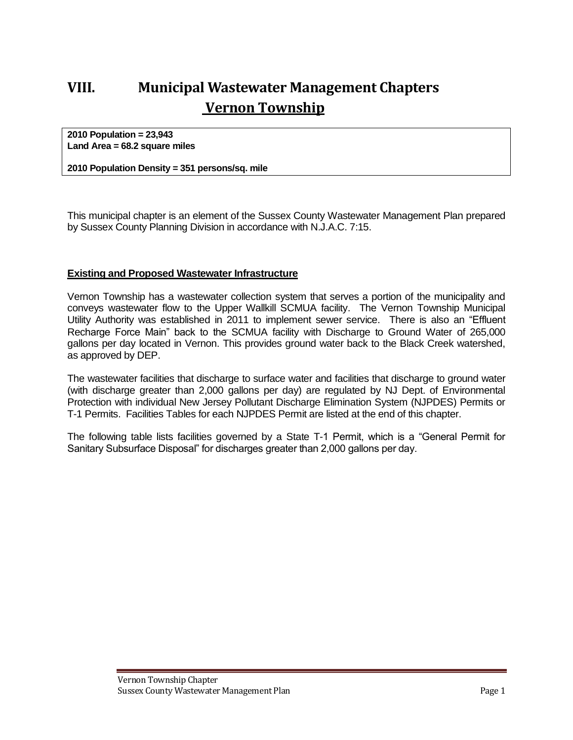# **VIII. Municipal Wastewater Management Chapters Vernon Township**

**2010 Population = 23,943 Land Area = 68.2 square miles**

**2010 Population Density = 351 persons/sq. mile**

This municipal chapter is an element of the Sussex County Wastewater Management Plan prepared by Sussex County Planning Division in accordance with N.J.A.C. 7:15.

#### **Existing and Proposed Wastewater Infrastructure**

Vernon Township has a wastewater collection system that serves a portion of the municipality and conveys wastewater flow to the Upper Wallkill SCMUA facility. The Vernon Township Municipal Utility Authority was established in 2011 to implement sewer service. There is also an "Effluent Recharge Force Main" back to the SCMUA facility with Discharge to Ground Water of 265,000 gallons per day located in Vernon. This provides ground water back to the Black Creek watershed, as approved by DEP.

The wastewater facilities that discharge to surface water and facilities that discharge to ground water (with discharge greater than 2,000 gallons per day) are regulated by NJ Dept. of Environmental Protection with individual New Jersey Pollutant Discharge Elimination System (NJPDES) Permits or T-1 Permits. Facilities Tables for each NJPDES Permit are listed at the end of this chapter.

The following table lists facilities governed by a State T-1 Permit, which is a "General Permit for Sanitary Subsurface Disposal" for discharges greater than 2,000 gallons per day.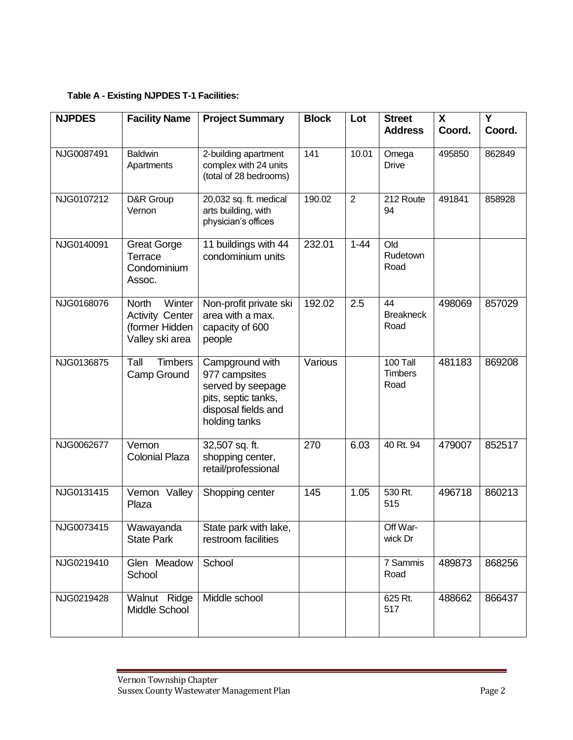### **Table A - Existing NJPDES T-1 Facilities:**

| <b>NJPDES</b> | <b>Facility Name</b>                                                           | <b>Project Summary</b>                                                                                               | <b>Block</b> | Lot            | <b>Street</b><br><b>Address</b>    | $\mathsf{X}$<br>Coord. | Y<br>Coord. |
|---------------|--------------------------------------------------------------------------------|----------------------------------------------------------------------------------------------------------------------|--------------|----------------|------------------------------------|------------------------|-------------|
|               |                                                                                |                                                                                                                      |              |                |                                    |                        |             |
| NJG0087491    | <b>Baldwin</b><br>Apartments                                                   | 2-building apartment<br>complex with 24 units<br>(total of 28 bedrooms)                                              | 141          | 10.01          | Omega<br><b>Drive</b>              | 495850                 | 862849      |
| NJG0107212    | D&R Group<br>Vernon                                                            | 20,032 sq. ft. medical<br>arts building, with<br>physician's offices                                                 | 190.02       | $\overline{2}$ | 212 Route<br>94                    | 491841                 | 858928      |
| NJG0140091    | <b>Great Gorge</b><br>Terrace<br>Condominium<br>Assoc.                         | 11 buildings with 44<br>condominium units                                                                            | 232.01       | $1 - 44$       | Old<br>Rudetown<br>Road            |                        |             |
| NJG0168076    | Winter<br>North<br><b>Activity Center</b><br>(former Hidden<br>Valley ski area | Non-profit private ski<br>area with a max.<br>capacity of 600<br>people                                              | 192.02       | 2.5            | 44<br><b>Breakneck</b><br>Road     | 498069                 | 857029      |
| NJG0136875    | Tall<br><b>Timbers</b><br>Camp Ground                                          | Campground with<br>977 campsites<br>served by seepage<br>pits, septic tanks,<br>disposal fields and<br>holding tanks | Various      |                | 100 Tall<br><b>Timbers</b><br>Road | 481183                 | 869208      |
| NJG0062677    | Vernon<br><b>Colonial Plaza</b>                                                | 32,507 sq. ft.<br>shopping center,<br>retail/professional                                                            | 270          | 6.03           | 40 Rt. 94                          | 479007                 | 852517      |
| NJG0131415    | Vernon<br>Valley<br>Plaza                                                      | Shopping center                                                                                                      | 145          | 1.05           | 530 Rt.<br>515                     | 496718                 | 860213      |
| NJG0073415    | Wawayanda<br><b>State Park</b>                                                 | State park with lake,<br>restroom facilities                                                                         |              |                | Off War-<br>wick Dr                |                        |             |
| NJG0219410    | Glen Meadow<br>School                                                          | School                                                                                                               |              |                | 7 Sammis<br>Road                   | 489873                 | 868256      |
| NJG0219428    | Walnut Ridge<br>Middle School                                                  | Middle school                                                                                                        |              |                | 625 Rt.<br>517                     | 488662                 | 866437      |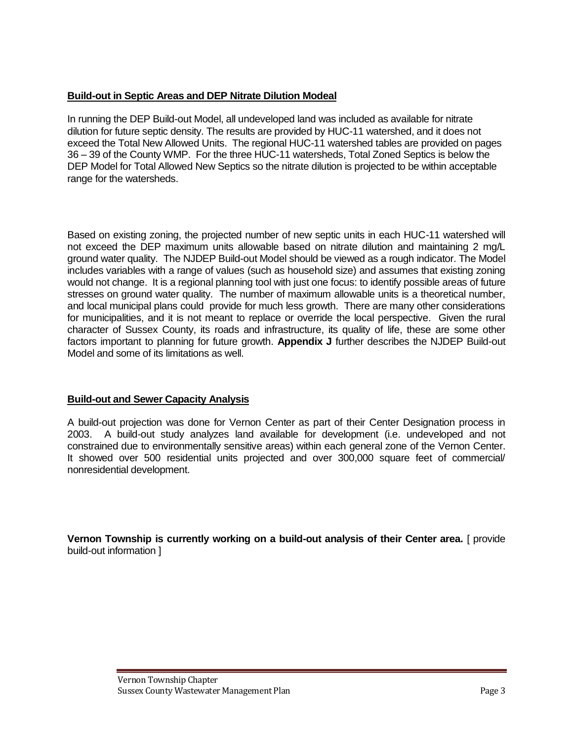### **Build-out in Septic Areas and DEP Nitrate Dilution Modeal**

In running the DEP Build-out Model, all undeveloped land was included as available for nitrate dilution for future septic density. The results are provided by HUC-11 watershed, and it does not exceed the Total New Allowed Units. The regional HUC-11 watershed tables are provided on pages 36 – 39 of the County WMP. For the three HUC-11 watersheds, Total Zoned Septics is below the DEP Model for Total Allowed New Septics so the nitrate dilution is projected to be within acceptable range for the watersheds.

Based on existing zoning, the projected number of new septic units in each HUC-11 watershed will not exceed the DEP maximum units allowable based on nitrate dilution and maintaining 2 mg/L ground water quality. The NJDEP Build-out Model should be viewed as a rough indicator. The Model includes variables with a range of values (such as household size) and assumes that existing zoning would not change. It is a regional planning tool with just one focus: to identify possible areas of future stresses on ground water quality. The number of maximum allowable units is a theoretical number, and local municipal plans could provide for much less growth. There are many other considerations for municipalities, and it is not meant to replace or override the local perspective. Given the rural character of Sussex County, its roads and infrastructure, its quality of life, these are some other factors important to planning for future growth. **Appendix J** further describes the NJDEP Build-out Model and some of its limitations as well.

### **Build-out and Sewer Capacity Analysis**

A build-out projection was done for Vernon Center as part of their Center Designation process in 2003. A build-out study analyzes land available for development (i.e. undeveloped and not constrained due to environmentally sensitive areas) within each general zone of the Vernon Center. It showed over 500 residential units projected and over 300,000 square feet of commercial/ nonresidential development.

**Vernon Township is currently working on a build-out analysis of their Center area.** [ provide build-out information ]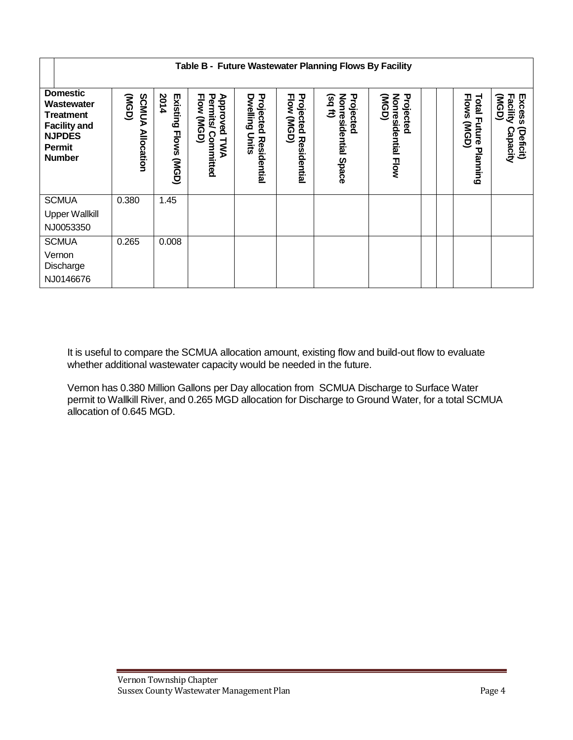|                                                                                                                             | Table B - Future Wastewater Planning Flows By Facility |                                 |                                                        |                                                                    |                                                  |                                                          |                                           |  |                                         |                                                             |
|-----------------------------------------------------------------------------------------------------------------------------|--------------------------------------------------------|---------------------------------|--------------------------------------------------------|--------------------------------------------------------------------|--------------------------------------------------|----------------------------------------------------------|-------------------------------------------|--|-----------------------------------------|-------------------------------------------------------------|
| <b>Domestic</b><br>Wastewater<br><b>Treatment</b><br><b>Facility and</b><br><b>NJPDES</b><br><b>Permit</b><br><b>Number</b> | (NGD)<br><b>SCMUA</b><br><b>Allocation</b>             | 2014<br>Existing<br>Flows (MGD) | Approved<br>Flow (MGD)<br>Permits/<br>Committed<br>TWA | Projected<br><b>Dwelling</b><br><b>Units</b><br><b>Residential</b> | Projected<br><b>Flow</b><br>(NGD)<br>Residential | Projected<br>$(sq$ ft)<br>Nonresidential<br><b>Space</b> | (NGD)<br>Projected<br>Nonresidential Flow |  | Flows (MGD)<br>Total Future<br>Planning | (NGD)<br><b>Facility</b><br>Excess<br>Capacity<br>(Deficit) |
| <b>SCMUA</b>                                                                                                                | 0.380                                                  | 1.45                            |                                                        |                                                                    |                                                  |                                                          |                                           |  |                                         |                                                             |
| <b>Upper Wallkill</b>                                                                                                       |                                                        |                                 |                                                        |                                                                    |                                                  |                                                          |                                           |  |                                         |                                                             |
| NJ0053350                                                                                                                   |                                                        |                                 |                                                        |                                                                    |                                                  |                                                          |                                           |  |                                         |                                                             |
| <b>SCMUA</b>                                                                                                                | 0.265                                                  | 0.008                           |                                                        |                                                                    |                                                  |                                                          |                                           |  |                                         |                                                             |
| Vernon<br>Discharge<br>NJ0146676                                                                                            |                                                        |                                 |                                                        |                                                                    |                                                  |                                                          |                                           |  |                                         |                                                             |

It is useful to compare the SCMUA allocation amount, existing flow and build-out flow to evaluate whether additional wastewater capacity would be needed in the future.

Vernon has 0.380 Million Gallons per Day allocation from SCMUA Discharge to Surface Water permit to Wallkill River, and 0.265 MGD allocation for Discharge to Ground Water, for a total SCMUA allocation of 0.645 MGD.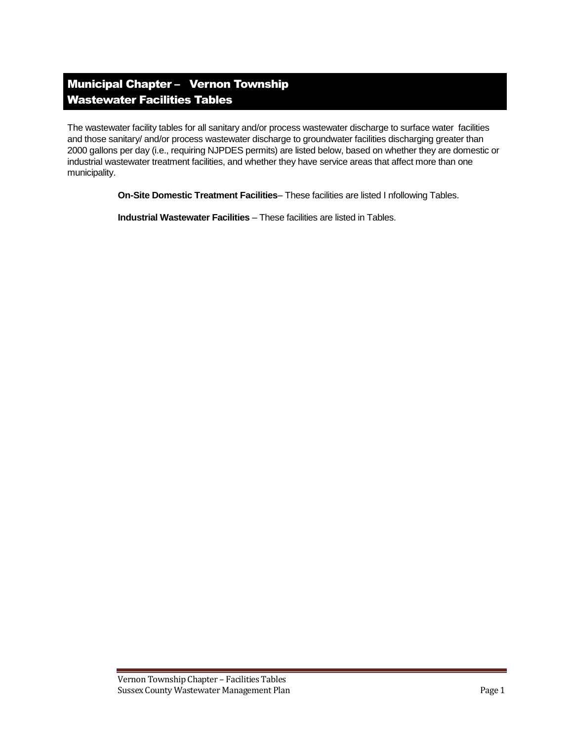## Municipal Chapter – Vernon Township Wastewater Facilities Tables

The wastewater facility tables for all sanitary and/or process wastewater discharge to surface water facilities and those sanitary/ and/or process wastewater discharge to groundwater facilities discharging greater than 2000 gallons per day (i.e., requiring NJPDES permits) are listed below, based on whether they are domestic or industrial wastewater treatment facilities, and whether they have service areas that affect more than one municipality.

**On-Site Domestic Treatment Facilities**– These facilities are listed I nfollowing Tables.

**Industrial Wastewater Facilities** – These facilities are listed in Tables.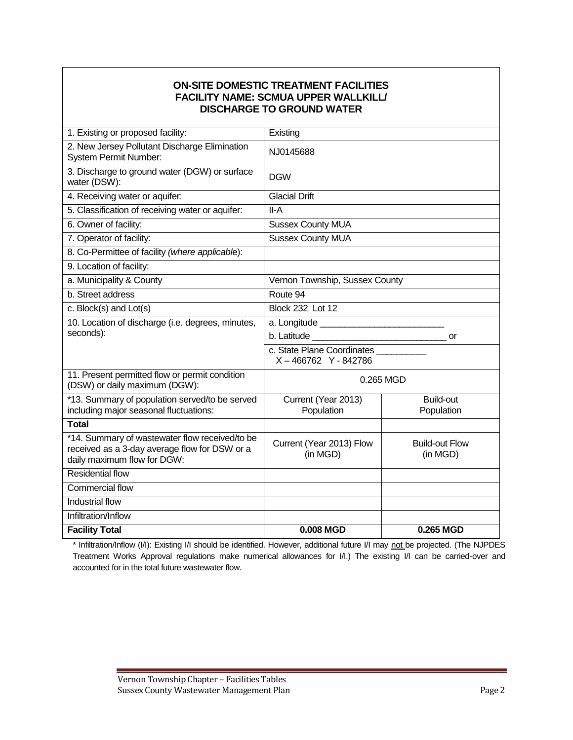### **ON-SITE DOMESTIC TREATMENT FACILITIES FACILITY NAME: SCMUA UPPER WALLKILL/ DISCHARGE TO GROUND WATER**

| <b>Facility Total</b>                                                                                                          | 0.008 MGD                                                                                                                                                                                                                            | 0.265 MGD                         |  |  |  |
|--------------------------------------------------------------------------------------------------------------------------------|--------------------------------------------------------------------------------------------------------------------------------------------------------------------------------------------------------------------------------------|-----------------------------------|--|--|--|
| Infiltration/Inflow                                                                                                            |                                                                                                                                                                                                                                      |                                   |  |  |  |
| Industrial flow                                                                                                                |                                                                                                                                                                                                                                      |                                   |  |  |  |
| Commercial flow                                                                                                                |                                                                                                                                                                                                                                      |                                   |  |  |  |
| <b>Residential flow</b>                                                                                                        |                                                                                                                                                                                                                                      |                                   |  |  |  |
| *14. Summary of wastewater flow received/to be<br>received as a 3-day average flow for DSW or a<br>daily maximum flow for DGW: | Current (Year 2013) Flow<br>(in MGD)                                                                                                                                                                                                 | <b>Build-out Flow</b><br>(in MGD) |  |  |  |
| <b>Total</b>                                                                                                                   |                                                                                                                                                                                                                                      |                                   |  |  |  |
| *13. Summary of population served/to be served<br>including major seasonal fluctuations:                                       | Current (Year 2013)<br>Population                                                                                                                                                                                                    | <b>Build-out</b><br>Population    |  |  |  |
| 11. Present permitted flow or permit condition<br>(DSW) or daily maximum (DGW):                                                | 0.265 MGD                                                                                                                                                                                                                            |                                   |  |  |  |
|                                                                                                                                | c. State Plane Coordinates<br>X-466762 Y-842786                                                                                                                                                                                      |                                   |  |  |  |
| seconds):                                                                                                                      | b. Latitude and the control of the control of the control of the control of the control of the control of the control of the control of the control of the control of the control of the control of the control of the control<br>or |                                   |  |  |  |
| 10. Location of discharge (i.e. degrees, minutes,                                                                              |                                                                                                                                                                                                                                      |                                   |  |  |  |
| c. Block(s) and Lot(s)                                                                                                         | <b>Block 232 Lot 12</b>                                                                                                                                                                                                              |                                   |  |  |  |
| b. Street address                                                                                                              | Route 94                                                                                                                                                                                                                             |                                   |  |  |  |
| a. Municipality & County                                                                                                       | Vernon Township, Sussex County                                                                                                                                                                                                       |                                   |  |  |  |
| 9. Location of facility:                                                                                                       |                                                                                                                                                                                                                                      |                                   |  |  |  |
| 8. Co-Permittee of facility (where applicable):                                                                                |                                                                                                                                                                                                                                      |                                   |  |  |  |
| 7. Operator of facility:                                                                                                       | <b>Sussex County MUA</b>                                                                                                                                                                                                             |                                   |  |  |  |
| 6. Owner of facility:                                                                                                          | <b>Sussex County MUA</b>                                                                                                                                                                                                             |                                   |  |  |  |
| 5. Classification of receiving water or aquifer:                                                                               | II-A                                                                                                                                                                                                                                 |                                   |  |  |  |
| water (DSW):<br>4. Receiving water or aquifer:                                                                                 | <b>Glacial Drift</b>                                                                                                                                                                                                                 |                                   |  |  |  |
| 3. Discharge to ground water (DGW) or surface                                                                                  | <b>DGW</b>                                                                                                                                                                                                                           |                                   |  |  |  |
| 2. New Jersey Pollutant Discharge Elimination<br><b>System Permit Number:</b>                                                  | NJ0145688                                                                                                                                                                                                                            |                                   |  |  |  |
| 1. Existing or proposed facility:                                                                                              | Existing                                                                                                                                                                                                                             |                                   |  |  |  |

\* Infiltration/Inflow (I/I): Existing I/I should be identified. However, additional future I/I may not be projected. (The NJPDES Treatment Works Approval regulations make numerical allowances for I/I.) The existing I/I can be carried-over and accounted for in the total future wastewater flow.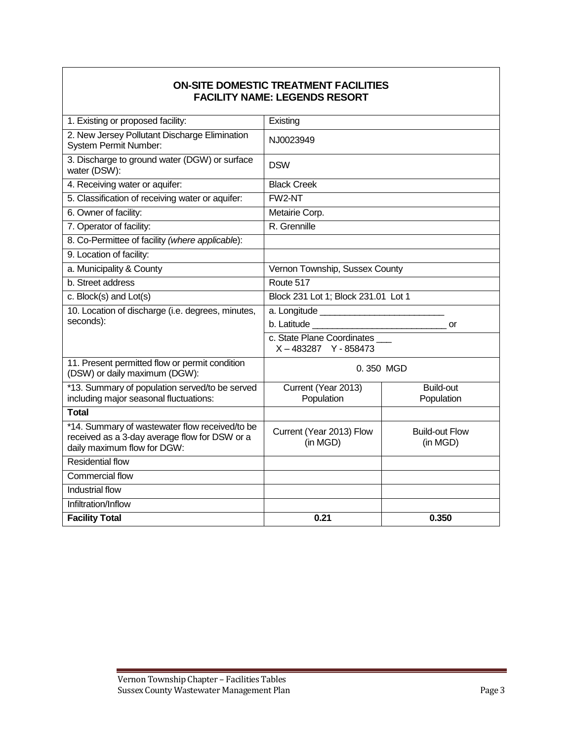### **ON-SITE DOMESTIC TREATMENT FACILITIES FACILITY NAME: LEGENDS RESORT**

| 1. Existing or proposed facility:                                                                                              | Existing                                        |                                   |  |  |  |
|--------------------------------------------------------------------------------------------------------------------------------|-------------------------------------------------|-----------------------------------|--|--|--|
| 2. New Jersey Pollutant Discharge Elimination<br><b>System Permit Number:</b>                                                  | NJ0023949                                       |                                   |  |  |  |
| 3. Discharge to ground water (DGW) or surface<br>water (DSW):                                                                  | <b>DSW</b>                                      |                                   |  |  |  |
| 4. Receiving water or aquifer:                                                                                                 | <b>Black Creek</b>                              |                                   |  |  |  |
| 5. Classification of receiving water or aquifer:                                                                               | FW2-NT                                          |                                   |  |  |  |
| 6. Owner of facility:                                                                                                          | Metairie Corp.                                  |                                   |  |  |  |
| 7. Operator of facility:                                                                                                       | R. Grennille                                    |                                   |  |  |  |
| 8. Co-Permittee of facility (where applicable):                                                                                |                                                 |                                   |  |  |  |
| 9. Location of facility:                                                                                                       |                                                 |                                   |  |  |  |
| a. Municipality & County                                                                                                       | Vernon Township, Sussex County                  |                                   |  |  |  |
| b. Street address                                                                                                              | Route 517                                       |                                   |  |  |  |
| c. Block(s) and Lot(s)                                                                                                         | Block 231 Lot 1; Block 231.01 Lot 1             |                                   |  |  |  |
| 10. Location of discharge (i.e. degrees, minutes,                                                                              |                                                 |                                   |  |  |  |
| seconds):                                                                                                                      | or                                              |                                   |  |  |  |
|                                                                                                                                | c. State Plane Coordinates<br>X-483287 Y-858473 |                                   |  |  |  |
| 11. Present permitted flow or permit condition<br>(DSW) or daily maximum (DGW):                                                | 0.350 MGD                                       |                                   |  |  |  |
| *13. Summary of population served/to be served<br>including major seasonal fluctuations:                                       | Current (Year 2013)<br>Population               | <b>Build-out</b><br>Population    |  |  |  |
| <b>Total</b>                                                                                                                   |                                                 |                                   |  |  |  |
| *14. Summary of wastewater flow received/to be<br>received as a 3-day average flow for DSW or a<br>daily maximum flow for DGW: | Current (Year 2013) Flow<br>(in MGD)            | <b>Build-out Flow</b><br>(in MGD) |  |  |  |
| <b>Residential flow</b>                                                                                                        |                                                 |                                   |  |  |  |
| Commercial flow                                                                                                                |                                                 |                                   |  |  |  |
| Industrial flow                                                                                                                |                                                 |                                   |  |  |  |
| Infiltration/Inflow                                                                                                            |                                                 |                                   |  |  |  |
| <b>Facility Total</b>                                                                                                          | 0.21                                            | 0.350                             |  |  |  |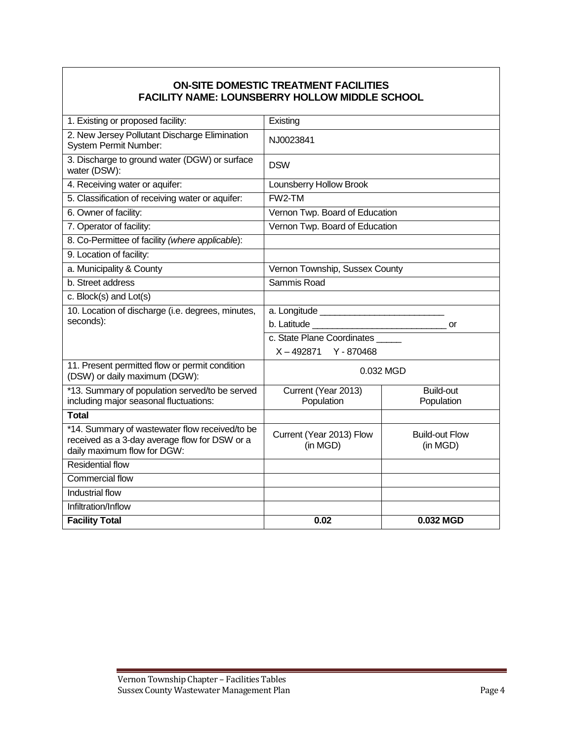### **ON-SITE DOMESTIC TREATMENT FACILITIES FACILITY NAME: LOUNSBERRY HOLLOW MIDDLE SCHOOL**

| 1. Existing or proposed facility:                                                                                              | Existing                                                                  |           |  |  |  |
|--------------------------------------------------------------------------------------------------------------------------------|---------------------------------------------------------------------------|-----------|--|--|--|
| 2. New Jersey Pollutant Discharge Elimination<br><b>System Permit Number:</b>                                                  | NJ0023841                                                                 |           |  |  |  |
| 3. Discharge to ground water (DGW) or surface<br>water (DSW):                                                                  | <b>DSW</b>                                                                |           |  |  |  |
| 4. Receiving water or aquifer:                                                                                                 | Lounsberry Hollow Brook                                                   |           |  |  |  |
| 5. Classification of receiving water or aquifer:                                                                               | FW2-TM                                                                    |           |  |  |  |
| 6. Owner of facility:                                                                                                          | Vernon Twp. Board of Education                                            |           |  |  |  |
| 7. Operator of facility:                                                                                                       | Vernon Twp. Board of Education                                            |           |  |  |  |
| 8. Co-Permittee of facility (where applicable):                                                                                |                                                                           |           |  |  |  |
| 9. Location of facility:                                                                                                       |                                                                           |           |  |  |  |
| a. Municipality & County                                                                                                       | Vernon Township, Sussex County                                            |           |  |  |  |
| b. Street address                                                                                                              | Sammis Road                                                               |           |  |  |  |
| c. Block(s) and Lot(s)                                                                                                         |                                                                           |           |  |  |  |
| 10. Location of discharge (i.e. degrees, minutes,                                                                              |                                                                           |           |  |  |  |
| seconds):                                                                                                                      | or                                                                        |           |  |  |  |
|                                                                                                                                | c. State Plane Coordinates                                                |           |  |  |  |
|                                                                                                                                | X-492871 Y-870468                                                         |           |  |  |  |
| 11. Present permitted flow or permit condition<br>(DSW) or daily maximum (DGW):                                                | 0.032 MGD                                                                 |           |  |  |  |
| *13. Summary of population served/to be served<br>including major seasonal fluctuations:                                       | Current (Year 2013)<br><b>Build-out</b><br>Population<br>Population       |           |  |  |  |
| <b>Total</b>                                                                                                                   |                                                                           |           |  |  |  |
| *14. Summary of wastewater flow received/to be<br>received as a 3-day average flow for DSW or a<br>daily maximum flow for DGW: | Current (Year 2013) Flow<br><b>Build-out Flow</b><br>(in MGD)<br>(in MGD) |           |  |  |  |
| <b>Residential flow</b>                                                                                                        |                                                                           |           |  |  |  |
| Commercial flow                                                                                                                |                                                                           |           |  |  |  |
| Industrial flow                                                                                                                |                                                                           |           |  |  |  |
| Infiltration/Inflow                                                                                                            |                                                                           |           |  |  |  |
| <b>Facility Total</b>                                                                                                          | 0.02                                                                      | 0.032 MGD |  |  |  |